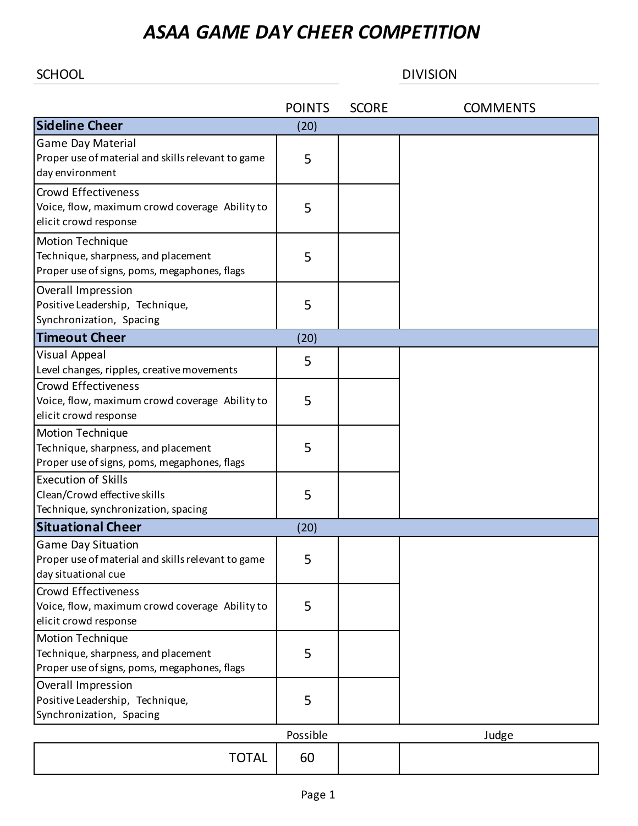## *ASAA GAME DAY CHEER COMPETITION*

SCHOOL DIVISION

|                                                                                                                | <b>POINTS</b> | <b>SCORE</b> | <b>COMMENTS</b> |
|----------------------------------------------------------------------------------------------------------------|---------------|--------------|-----------------|
| <b>Sideline Cheer</b>                                                                                          | (20)          |              |                 |
| Game Day Material<br>Proper use of material and skills relevant to game<br>day environment                     | 5             |              |                 |
| <b>Crowd Effectiveness</b><br>Voice, flow, maximum crowd coverage Ability to<br>elicit crowd response          | 5             |              |                 |
| <b>Motion Technique</b><br>Technique, sharpness, and placement<br>Proper use of signs, poms, megaphones, flags | 5             |              |                 |
| Overall Impression<br>Positive Leadership, Technique,<br>Synchronization, Spacing                              | 5             |              |                 |
| <b>Timeout Cheer</b>                                                                                           | (20)          |              |                 |
| Visual Appeal<br>Level changes, ripples, creative movements                                                    | 5             |              |                 |
| <b>Crowd Effectiveness</b><br>Voice, flow, maximum crowd coverage Ability to<br>elicit crowd response          | 5             |              |                 |
| Motion Technique<br>Technique, sharpness, and placement<br>Proper use of signs, poms, megaphones, flags        | 5             |              |                 |
| <b>Execution of Skills</b><br>Clean/Crowd effective skills<br>Technique, synchronization, spacing              | 5             |              |                 |
| <b>Situational Cheer</b>                                                                                       | (20)          |              |                 |
| <b>Game Day Situation</b><br>Proper use of material and skills relevant to game<br>day situational cue         | 5             |              |                 |
| <b>Crowd Effectiveness</b><br>Voice, flow, maximum crowd coverage Ability to<br>elicit crowd response          | 5             |              |                 |
| <b>Motion Technique</b><br>Technique, sharpness, and placement<br>Proper use of signs, poms, megaphones, flags | 5             |              |                 |
| Overall Impression<br>Positive Leadership, Technique,<br>Synchronization, Spacing                              | 5             |              |                 |
|                                                                                                                | Possible      |              | Judge           |
| <b>TOTAL</b>                                                                                                   | 60            |              |                 |